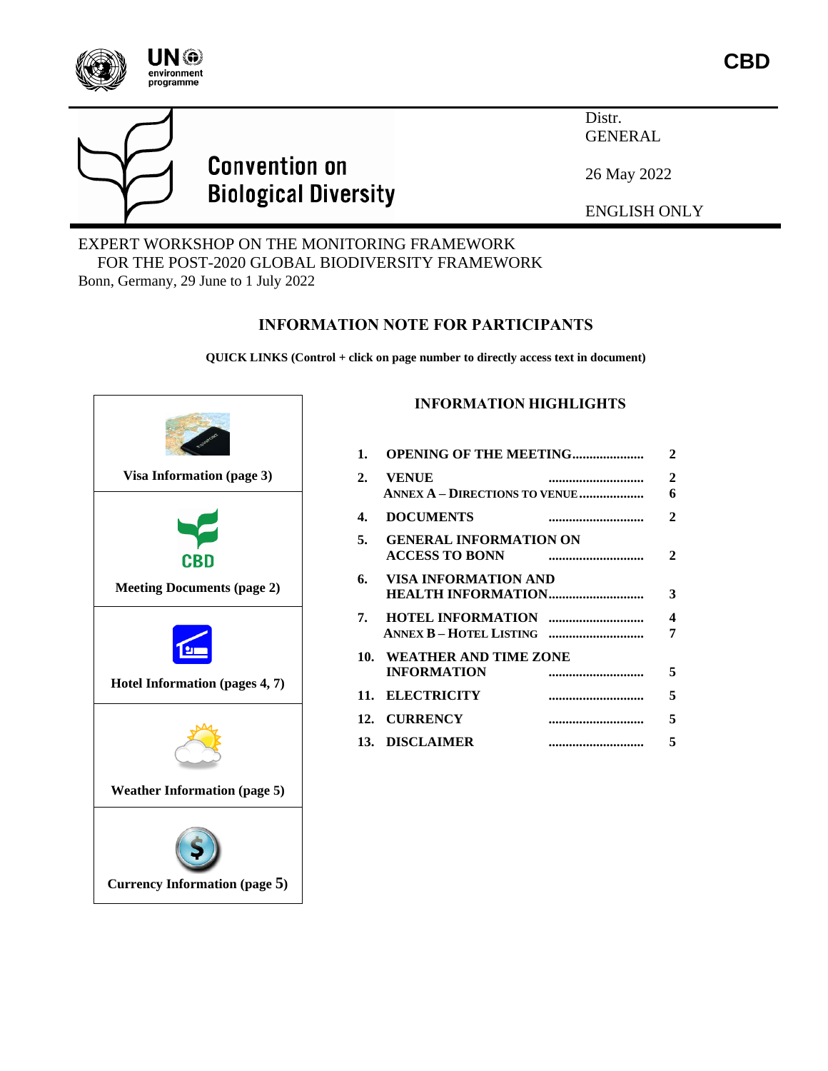



# **Convention on Biological Diversity**

Distr. GENERAL

26 May 2022

ENGLISH ONLY

#### EXPERT WORKSHOP ON THE MONITORING FRAMEWORK FOR THE POST-2020 GLOBAL BIODIVERSITY FRAMEWORK Bonn, Germany, 29 June to 1 July 2022

## **INFORMATION NOTE FOR PARTICIPANTS**

**QUICK LINKS (Control + click on page number to directly access text in document)**



### **INFORMATION HIGHLIGHTS**

| 1. | <b>OPENING OF THE MEETING</b>                          |  | 2                 |
|----|--------------------------------------------------------|--|-------------------|
| 2. | <b>VENUE</b><br><b>ANNEX A - DIRECTIONS TO VENUE </b>  |  | $\mathbf{2}$<br>6 |
| 4. | <b>DOCUMENTS</b>                                       |  | 2                 |
| 5. | <b>GENERAL INFORMATION ON</b><br><b>ACCESS TO BONN</b> |  | 2                 |
| 6. | VISA INFORMATION AND<br><b>HEALTH INFORMATION</b>      |  | 3                 |
|    |                                                        |  | 4<br>7            |
|    | 10. WEATHER AND TIME ZONE<br><b>INFORMATION</b>        |  | 5                 |
|    | 11. ELECTRICITY                                        |  | 5                 |
|    | 12. CURRENCY                                           |  | 5                 |
|    | 13. DISCLAIMER                                         |  | 5                 |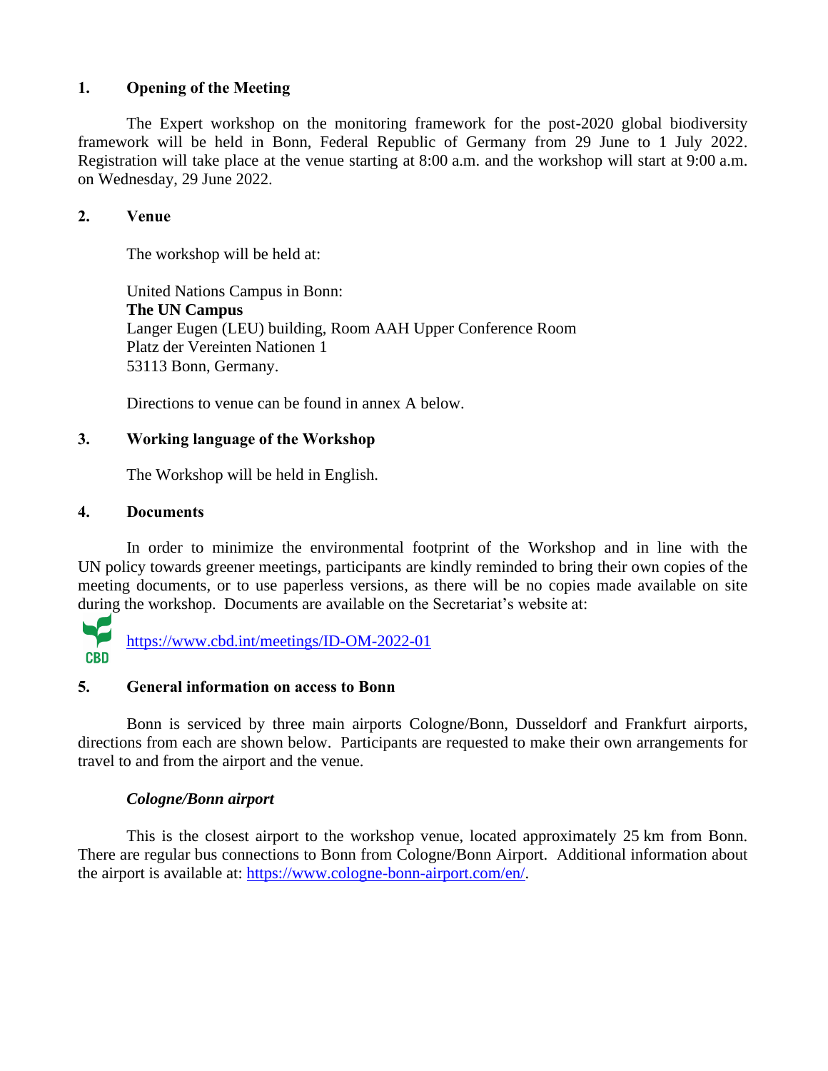#### **1. Opening of the Meeting**

The Expert workshop on the monitoring framework for the post-2020 global biodiversity framework will be held in Bonn, Federal Republic of Germany from 29 June to 1 July 2022. Registration will take place at the venue starting at 8:00 a.m. and the workshop will start at 9:00 a.m. on Wednesday, 29 June 2022.

#### **2. Venue**

The workshop will be held at:

[United](http://www.guennewig.de/bnbristo/homepage_e.php) Nations Campus in Bonn: **The UN Campus** Langer Eugen (LEU) building, Room AAH Upper Conference Room Platz der Vereinten Nationen 1 53113 Bonn, Germany.

Directions to venue can be found in annex A below.

#### **3. Working language of the Workshop**

The Workshop will be held in English.

#### <span id="page-1-0"></span>**4. Documents**

In order to minimize the environmental footprint of the Workshop and in line with the UN policy towards greener meetings, participants are kindly reminded to bring their own copies of the meeting documents, or to use paperless versions, as there will be no copies made available on site during the workshop. Documents are available on the Secretariat's website at:



#### **5. General information on access to Bonn**

Bonn is serviced by three main airports Cologne/Bonn, Dusseldorf and Frankfurt airports, directions from each are shown below. Participants are requested to make their own arrangements for travel to and from the airport and the venue.

#### *Cologne/Bonn airport*

This is the closest airport to the workshop venue, located approximately 25 km from Bonn. There are regular bus connections to Bonn from Cologne/Bonn Airport. Additional information about the airport is available at: [https://www.cologne-bonn-airport.com/en/.](https://www.cologne-bonn-airport.com/en/)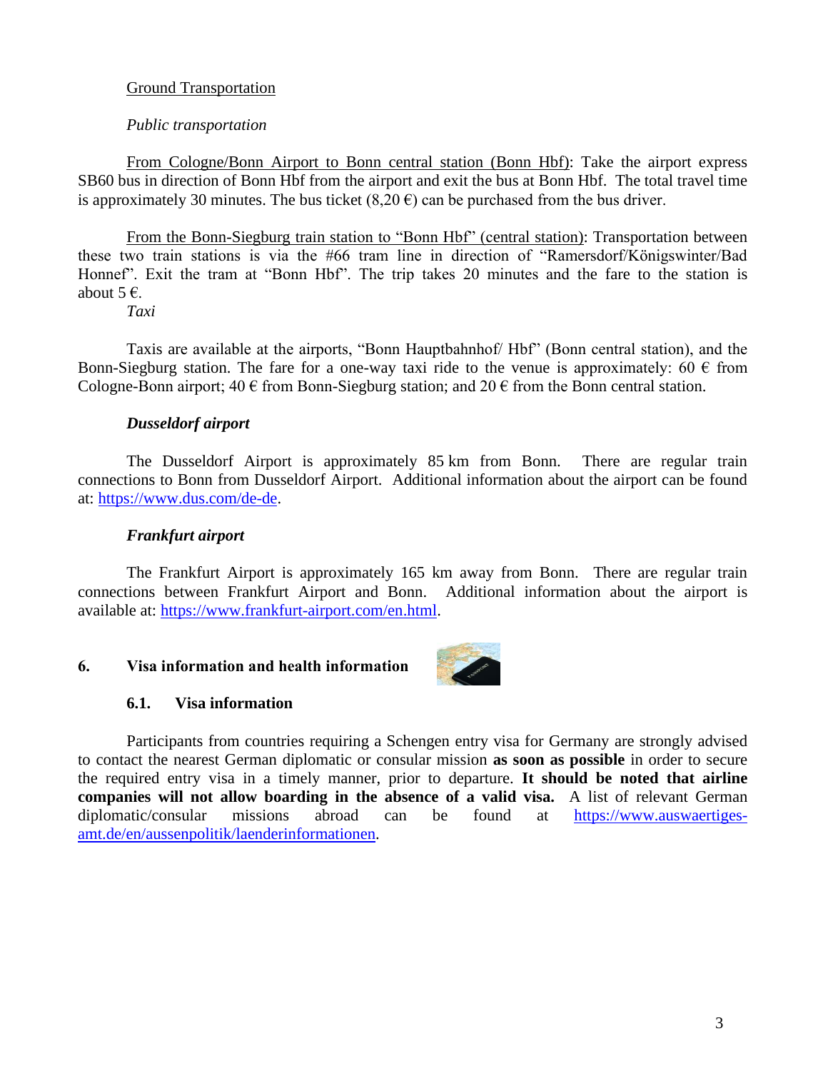#### Ground Transportation

#### *Public transportation*

From Cologne/Bonn Airport to Bonn central station (Bonn Hbf): Take the airport express SB60 bus in direction of Bonn Hbf from the airport and exit the bus at Bonn Hbf. The total travel time is approximately 30 minutes. The bus ticket  $(8,20 \text{ } \epsilon)$  can be purchased from the bus driver.

From the Bonn-Siegburg train station to "Bonn Hbf" (central station): Transportation between these two train stations is via the #66 tram line in direction of "Ramersdorf/Königswinter/Bad Honnef". Exit the tram at "Bonn Hbf". The trip takes 20 minutes and the fare to the station is about  $5 \in$ .

*Taxi*

Taxis are available at the airports, "Bonn Hauptbahnhof/ Hbf" (Bonn central station), and the Bonn-Siegburg station. The fare for a one-way taxi ride to the venue is approximately: 60  $\epsilon$  from Cologne-Bonn airport;  $40 \in \text{from Bonn-Siegburg station}$ ; and  $20 \in \text{from the Bonn central station}$ .

#### *Dusseldorf airport*

The Dusseldorf Airport is approximately 85 km from Bonn. There are regular train connections to Bonn from Dusseldorf Airport. Additional information about the airport can be found at: [https://www.dus.com/de-de.](https://www.dus.com/de-de)

#### *Frankfurt airport*

The Frankfurt Airport is approximately 165 km away from Bonn. There are regular train connections between Frankfurt Airport and Bonn. Additional information about the airport is available at: [https://www.frankfurt-airport.com/en.html.](https://www.frankfurt-airport.com/en.html)

#### <span id="page-2-0"></span>**6. Visa information and health information**



#### **6.1. Visa information**

Participants from countries requiring a Schengen entry visa for Germany are strongly advised to contact the nearest German diplomatic or consular mission **as soon as possible** in order to secure the required entry visa in a timely manner, prior to departure. **It should be noted that airline companies will not allow boarding in the absence of a valid visa.** A list of relevant German diplomatic/consular missions abroad can be found at [https://www.auswaertiges](https://www.auswaertiges-amt.de/en/aussenpolitik/laenderinformationen)[amt.de/en/aussenpolitik/laenderinformationen.](https://www.auswaertiges-amt.de/en/aussenpolitik/laenderinformationen)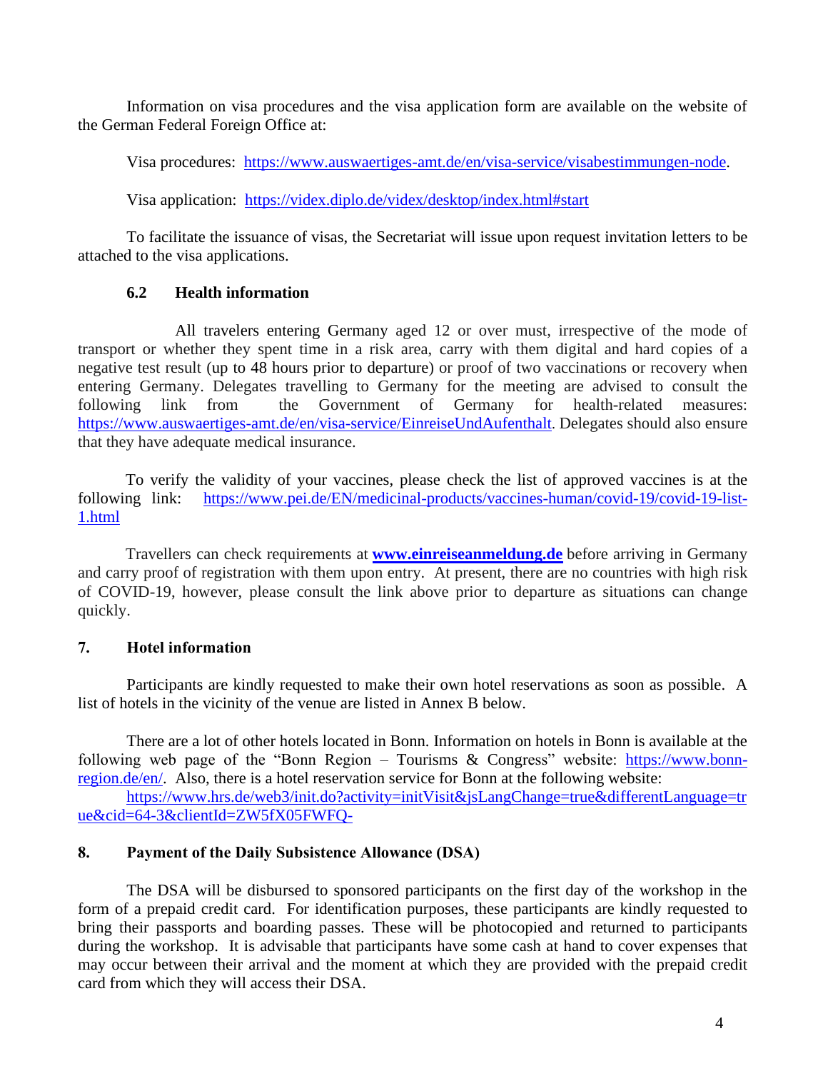Information on visa procedures and the visa application form are available on the website of the German Federal Foreign Office at:

Visa procedures: [https://www.auswaertiges-amt.de/en/visa-service/visabestimmungen-node.](https://www.auswaertiges-amt.de/en/visa-service/visabestimmungen-node)

Visa application: <https://videx.diplo.de/videx/desktop/index.html#start>

To facilitate the issuance of visas, the Secretariat will issue upon request invitation letters to be attached to the visa applications.

#### **6.2 Health information**

All travelers entering Germany aged 12 or over must, irrespective of the mode of transport or whether they spent time in a risk area, carry with them digital and hard copies of a negative test result (up to 48 hours prior to departure) or proof of two vaccinations or recovery when entering Germany. Delegates travelling to Germany for the meeting are advised to consult the following link from the Government of Germany for health-related measures: <https://www.auswaertiges-amt.de/en/visa-service/EinreiseUndAufenthalt>. Delegates should also ensure that they have adequate medical insurance.

To verify the validity of your vaccines, please check the list of approved vaccines is at the following link: [https://www.pei.de/EN/medicinal-products/vaccines-human/covid-19/covid-19-list-](https://www.pei.de/EN/medicinal-products/vaccines-human/covid-19/covid-19-list-1.html)[1.html](https://www.pei.de/EN/medicinal-products/vaccines-human/covid-19/covid-19-list-1.html)

Travellers can check requirements at **[www.einreiseanmeldung.de](http://www.einreiseanmeldung.de/)** before arriving in Germany and carry proof of registration with them upon entry. At present, there are no countries with high risk of COVID-19, however, please consult the link above prior to departure as situations can change quickly.

#### <span id="page-3-0"></span>**7. Hotel information**

Participants are kindly requested to make their own hotel reservations as soon as possible. A list of hotels in the vicinity of the venue are listed in Annex B below.

There are a lot of other hotels located in Bonn. Information on hotels in Bonn is available at the following web page of the "Bonn Region – Tourisms  $\&$  Congress" website: [https://www.bonn](https://www.bonn-region.de/en/)[region.de/en/.](https://www.bonn-region.de/en/) Also, there is a hotel reservation service for Bonn at the following website:

[https://www.hrs.de/web3/init.do?activity=initVisit&jsLangChange=true&differentLanguage=tr](https://www.hrs.de/web3/init.do?activity=initVisit&jsLangChange=true&differentLanguage=true&cid=64-3&clientId=ZW5fX05FWFQ-) [ue&cid=64-3&clientId=ZW5fX05FWFQ-](https://www.hrs.de/web3/init.do?activity=initVisit&jsLangChange=true&differentLanguage=true&cid=64-3&clientId=ZW5fX05FWFQ-)

#### **8. Payment of the Daily Subsistence Allowance (DSA)**

The DSA will be disbursed to sponsored participants on the first day of the workshop in the form of a prepaid credit card. For identification purposes, these participants are kindly requested to bring their passports and boarding passes. These will be photocopied and returned to participants during the workshop. It is advisable that participants have some cash at hand to cover expenses that may occur between their arrival and the moment at which they are provided with the prepaid credit card from which they will access their DSA.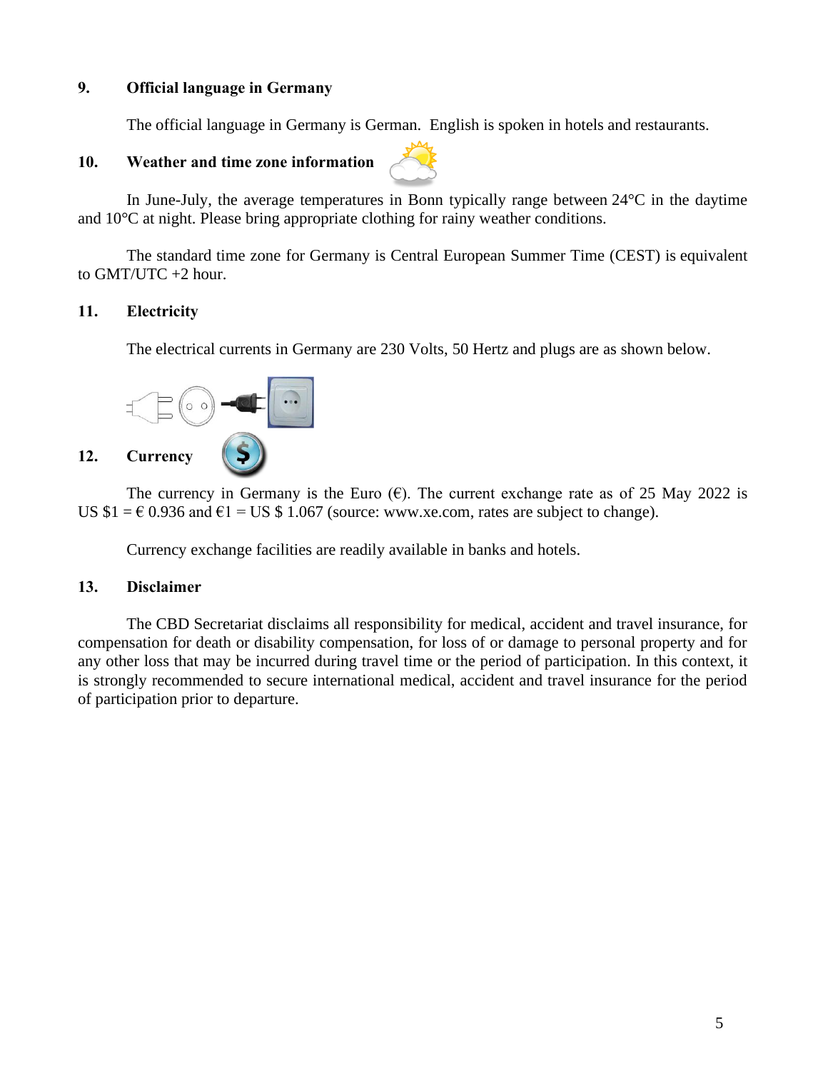#### **9. Official language in Germany**

The official language in Germany is German. English is spoken in hotels and restaurants.

#### <span id="page-4-0"></span>**10. Weather and time zone information**



In June-July, the average temperatures in Bonn typically range between 24°C in the daytime and 10°C at night. Please bring appropriate clothing for rainy weather conditions.

The standard time zone for Germany is Central European Summer Time (CEST) is equivalent to GMT/UTC +2 hour.

#### **11. Electricity**

The electrical currents in Germany are 230 Volts, 50 Hertz and plugs are as shown below.



<span id="page-4-1"></span>The currency in Germany is the Euro  $(\epsilon)$ . The current exchange rate as of 25 May 2022 is US  $$1 = \text{\textsterling} 0.936$  and  $\text{\textsterling}1 =$  US  $$1.067$  (source: www.xe.com, rates are subject to change).

Currency exchange facilities are readily available in banks and hotels.

#### **13. Disclaimer**

The CBD Secretariat disclaims all responsibility for medical, accident and travel insurance, for compensation for death or disability compensation, for loss of or damage to personal property and for any other loss that may be incurred during travel time or the period of participation. In this context, it is strongly recommended to secure international medical, accident and travel insurance for the period of participation prior to departure.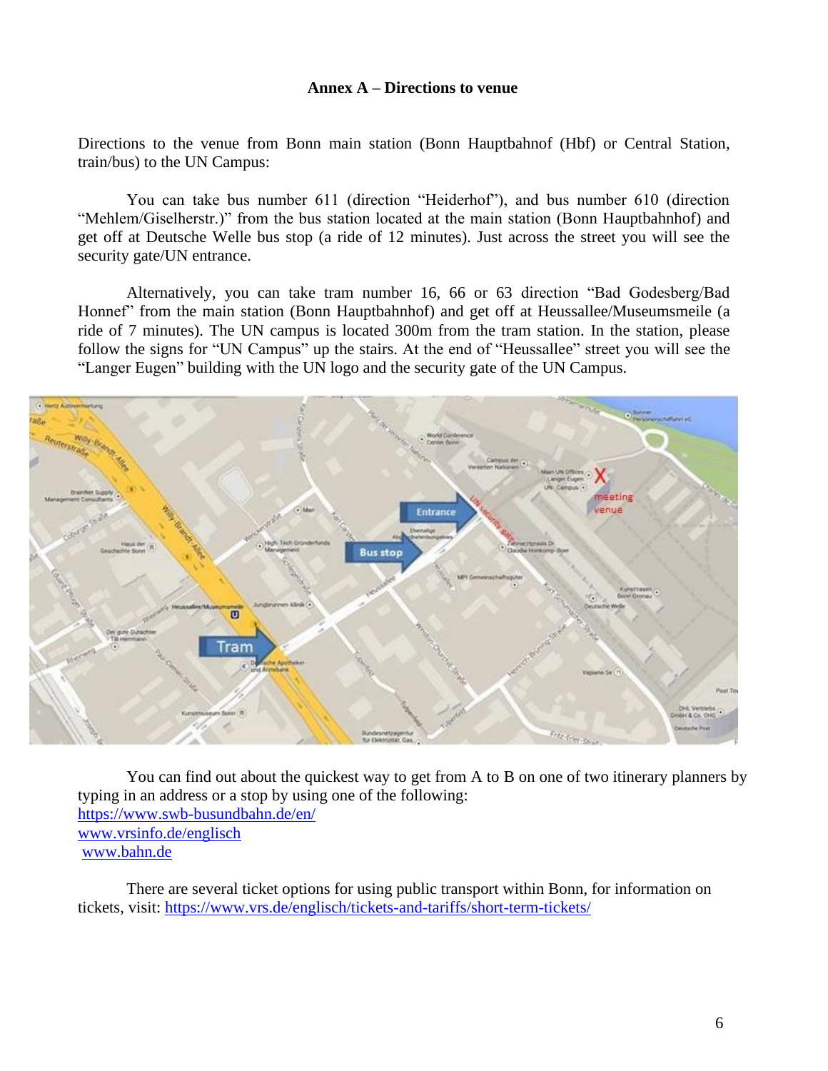#### **Annex A – Directions to venue**

Directions to the venue from Bonn main station (Bonn Hauptbahnof (Hbf) or Central Station, train/bus) to the UN Campus:

You can take bus number 611 (direction "Heiderhof"), and bus number 610 (direction "Mehlem/Giselherstr.)" from the bus station located at the main station (Bonn Hauptbahnhof) and get off at Deutsche Welle bus stop (a ride of 12 minutes). Just across the street you will see the security gate/UN entrance.

Alternatively, you can take tram number 16, 66 or 63 direction "Bad Godesberg/Bad Honnef" from the main station (Bonn Hauptbahnhof) and get off at Heussallee/Museumsmeile (a ride of 7 minutes). The UN campus is located 300m from the tram station. In the station, please follow the signs for "UN Campus" up the stairs. At the end of "Heussallee" street you will see the "Langer Eugen" building with the UN logo and the security gate of the UN Campus.



You can find out about the quickest way to get from A to B on one of two itinerary planners by typing in an address or a stop by using one of the following: <https://www.swb-busundbahn.de/en/> [www.vrsinfo.de/englisch](http://www.vrsinfo.de/englisch) [www.bahn.de](http://www.bahn.de/)

There are several ticket options for using public transport within Bonn, for information on tickets, visit: <https://www.vrs.de/englisch/tickets-and-tariffs/short-term-tickets/>